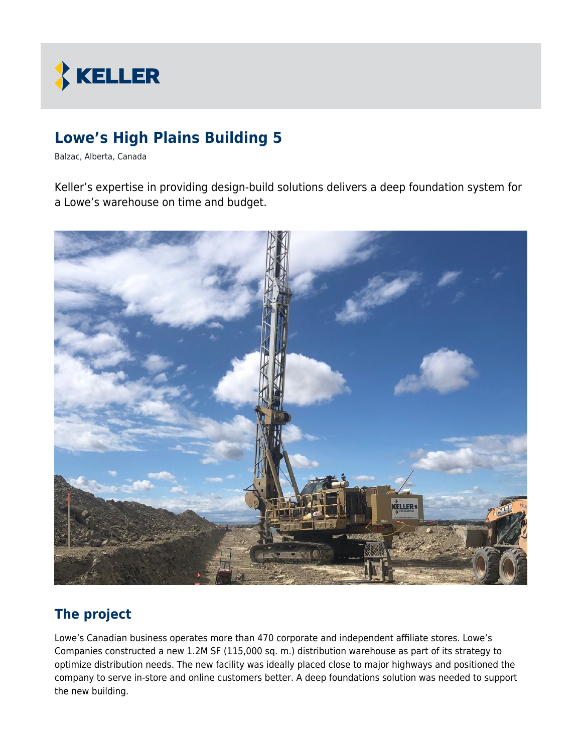

# **Lowe's High Plains Building 5**

Balzac, Alberta, Canada

Keller's expertise in providing design-build solutions delivers a deep foundation system for a Lowe's warehouse on time and budget.



#### **The project**

Lowe's Canadian business operates more than 470 corporate and independent affiliate stores. Lowe's Companies constructed a new 1.2M SF (115,000 sq. m.) distribution warehouse as part of its strategy to optimize distribution needs. The new facility was ideally placed close to major highways and positioned the company to serve in-store and online customers better. A deep foundations solution was needed to support the new building.